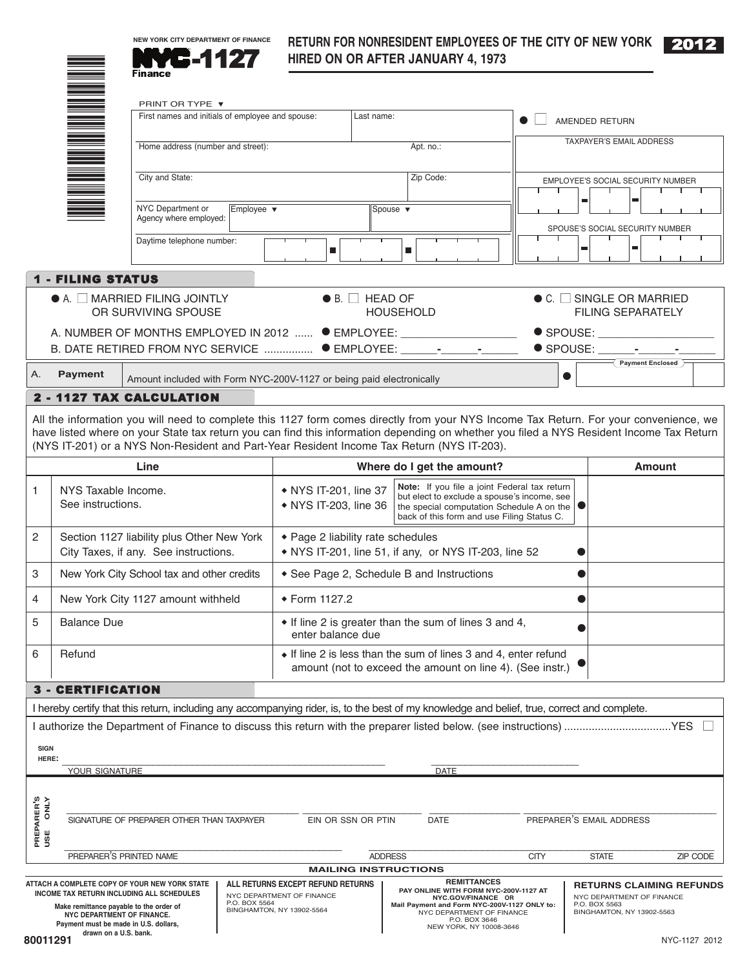

# **RETURN FOR NONRESIDENT EMPLOYEES OF THE CITY OF NEW YORK** 2012



|                                                      |                                                                                                                | 6.11<br>Finance                                                                            |                               |                                                                                                                                                                                                                                                                |                             |                                   | HIRED ON OR AFTER JANUARY 4, 1973                                                                                                                                                                                                                                                                                                                                              |             |               |                                                                                                            |                  |          |
|------------------------------------------------------|----------------------------------------------------------------------------------------------------------------|--------------------------------------------------------------------------------------------|-------------------------------|----------------------------------------------------------------------------------------------------------------------------------------------------------------------------------------------------------------------------------------------------------------|-----------------------------|-----------------------------------|--------------------------------------------------------------------------------------------------------------------------------------------------------------------------------------------------------------------------------------------------------------------------------------------------------------------------------------------------------------------------------|-------------|---------------|------------------------------------------------------------------------------------------------------------|------------------|----------|
|                                                      |                                                                                                                | PRINT OR TYPE ▼                                                                            |                               |                                                                                                                                                                                                                                                                |                             |                                   |                                                                                                                                                                                                                                                                                                                                                                                |             |               |                                                                                                            |                  |          |
|                                                      |                                                                                                                | First names and initials of employee and spouse:                                           |                               |                                                                                                                                                                                                                                                                | Last name:                  |                                   |                                                                                                                                                                                                                                                                                                                                                                                |             |               | AMENDED RETURN                                                                                             |                  |          |
| Home address (number and street):<br>City and State: |                                                                                                                |                                                                                            | Apt. no.:                     |                                                                                                                                                                                                                                                                |                             | TAXPAYER'S EMAIL ADDRESS          |                                                                                                                                                                                                                                                                                                                                                                                |             |               |                                                                                                            |                  |          |
|                                                      |                                                                                                                |                                                                                            | Zip Code:                     |                                                                                                                                                                                                                                                                |                             | EMPLOYEE'S SOCIAL SECURITY NUMBER |                                                                                                                                                                                                                                                                                                                                                                                |             |               |                                                                                                            |                  |          |
|                                                      |                                                                                                                | NYC Department or<br>Agency where employed:                                                | Employee $\blacktriangledown$ |                                                                                                                                                                                                                                                                |                             | Spouse $\blacktriangledown$       |                                                                                                                                                                                                                                                                                                                                                                                |             | ш             | ш                                                                                                          |                  |          |
|                                                      |                                                                                                                | Daytime telephone number:                                                                  |                               |                                                                                                                                                                                                                                                                | ш                           |                                   | ш                                                                                                                                                                                                                                                                                                                                                                              |             | ш             | SPOUSE'S SOCIAL SECURITY NUMBER                                                                            |                  |          |
|                                                      | <b>1 - FILING STATUS</b>                                                                                       |                                                                                            |                               |                                                                                                                                                                                                                                                                |                             |                                   |                                                                                                                                                                                                                                                                                                                                                                                |             |               |                                                                                                            |                  |          |
|                                                      |                                                                                                                | $\bullet$ A. $\Box$ MARRIED FILING JOINTLY<br>OR SURVIVING SPOUSE                          |                               |                                                                                                                                                                                                                                                                | $\bullet$ B. $\Box$ HEAD OF |                                   | <b>HOUSEHOLD</b>                                                                                                                                                                                                                                                                                                                                                               |             |               | $\bullet$ C. $\Box$ SINGLE OR MARRIED<br><b>FILING SEPARATELY</b>                                          |                  |          |
|                                                      |                                                                                                                | B. DATE RETIRED FROM NYC SERVICE  ● EMPLOYEE: _________________                            |                               |                                                                                                                                                                                                                                                                |                             |                                   | A. NUMBER OF MONTHS EMPLOYED IN 2012  ● EMPLOYEE: _______________________                                                                                                                                                                                                                                                                                                      |             |               | $\bullet$ SPOUSE: $\_\_$<br>$\bullet$ SPOUSE: $\qquad -$                                                   |                  |          |
| Α.                                                   | <b>Payment</b>                                                                                                 | Amount included with Form NYC-200V-1127 or being paid electronically                       |                               |                                                                                                                                                                                                                                                                |                             |                                   |                                                                                                                                                                                                                                                                                                                                                                                |             | $\bullet$     |                                                                                                            | Payment Enclosed |          |
|                                                      |                                                                                                                | 2 - 1127 TAX CALCULATION                                                                   |                               |                                                                                                                                                                                                                                                                |                             |                                   |                                                                                                                                                                                                                                                                                                                                                                                |             |               |                                                                                                            |                  |          |
|                                                      |                                                                                                                |                                                                                            |                               |                                                                                                                                                                                                                                                                |                             |                                   | All the information you will need to complete this 1127 form comes directly from your NYS Income Tax Return. For your convenience, we<br>have listed where on your State tax return you can find this information depending on whether you filed a NYS Resident Income Tax Return<br>(NYS IT-201) or a NYS Non-Resident and Part-Year Resident Income Tax Return (NYS IT-203). |             |               |                                                                                                            |                  |          |
|                                                      |                                                                                                                | Line                                                                                       |                               | Where do I get the amount?                                                                                                                                                                                                                                     |                             |                                   |                                                                                                                                                                                                                                                                                                                                                                                |             | <b>Amount</b> |                                                                                                            |                  |          |
| 1                                                    | NYS Taxable Income.<br>See instructions.                                                                       |                                                                                            |                               | Note: If you file a joint Federal tax return<br>• NYS IT-201, line 37<br>but elect to exclude a spouse's income, see<br>• NYS IT-203, line 36<br>the special computation Schedule A on the $\vert \bullet \vert$<br>back of this form and use Filing Status C. |                             |                                   |                                                                                                                                                                                                                                                                                                                                                                                |             |               |                                                                                                            |                  |          |
| 2                                                    | Section 1127 liability plus Other New York<br>City Taxes, if any. See instructions.                            |                                                                                            |                               | ◆ Page 2 liability rate schedules<br>• NYS IT-201, line 51, if any, or NYS IT-203, line 52                                                                                                                                                                     |                             |                                   |                                                                                                                                                                                                                                                                                                                                                                                |             |               |                                                                                                            |                  |          |
| 3                                                    | New York City School tax and other credits                                                                     |                                                                                            |                               | See Page 2, Schedule B and Instructions                                                                                                                                                                                                                        |                             |                                   |                                                                                                                                                                                                                                                                                                                                                                                |             |               |                                                                                                            |                  |          |
| 4                                                    | New York City 1127 amount withheld                                                                             |                                                                                            |                               | ◆ Form 1127.2                                                                                                                                                                                                                                                  |                             |                                   |                                                                                                                                                                                                                                                                                                                                                                                |             |               |                                                                                                            |                  |          |
| 5                                                    | <b>Balance Due</b>                                                                                             |                                                                                            |                               | • If line 2 is greater than the sum of lines 3 and 4,<br>enter balance due                                                                                                                                                                                     |                             |                                   |                                                                                                                                                                                                                                                                                                                                                                                |             |               |                                                                                                            |                  |          |
| 6                                                    | Refund                                                                                                         |                                                                                            |                               | • If line 2 is less than the sum of lines 3 and 4, enter refund<br>amount (not to exceed the amount on line 4). (See instr.)                                                                                                                                   |                             |                                   |                                                                                                                                                                                                                                                                                                                                                                                |             |               |                                                                                                            |                  |          |
|                                                      | 3 - CERTIFICATION                                                                                              |                                                                                            |                               |                                                                                                                                                                                                                                                                |                             |                                   |                                                                                                                                                                                                                                                                                                                                                                                |             |               |                                                                                                            |                  |          |
|                                                      |                                                                                                                |                                                                                            |                               |                                                                                                                                                                                                                                                                |                             |                                   | I hereby certify that this return, including any accompanying rider, is, to the best of my knowledge and belief, true, correct and complete.                                                                                                                                                                                                                                   |             |               |                                                                                                            |                  |          |
| <b>SIGN</b><br>HERE:                                 |                                                                                                                |                                                                                            |                               |                                                                                                                                                                                                                                                                |                             |                                   |                                                                                                                                                                                                                                                                                                                                                                                |             |               |                                                                                                            |                  |          |
|                                                      | YOUR SIGNATURE                                                                                                 |                                                                                            |                               |                                                                                                                                                                                                                                                                |                             |                                   | <b>DATE</b>                                                                                                                                                                                                                                                                                                                                                                    |             |               |                                                                                                            |                  |          |
| PREPARER'S<br>USE ONLY                               |                                                                                                                | SIGNATURE OF PREPARER OTHER THAN TAXPAYER                                                  |                               |                                                                                                                                                                                                                                                                | EIN OR SSN OR PTIN          |                                   | <b>DATE</b>                                                                                                                                                                                                                                                                                                                                                                    |             |               | PREPARER'S EMAIL ADDRESS                                                                                   |                  |          |
|                                                      | PREPARER'S PRINTED NAME                                                                                        |                                                                                            |                               |                                                                                                                                                                                                                                                                |                             | <b>ADDRESS</b>                    |                                                                                                                                                                                                                                                                                                                                                                                | <b>CITY</b> |               | <b>STATE</b>                                                                                               |                  | ZIP CODE |
|                                                      |                                                                                                                |                                                                                            |                               |                                                                                                                                                                                                                                                                | <b>MAILING INSTRUCTIONS</b> |                                   |                                                                                                                                                                                                                                                                                                                                                                                |             |               |                                                                                                            |                  |          |
|                                                      | Make remittance payable to the order of<br>NYC DEPARTMENT OF FINANCE.<br>Payment must be made in U.S. dollars, | ATTACH A COMPLETE COPY OF YOUR NEW YORK STATE<br>INCOME TAX RETURN INCLUDING ALL SCHEDULES | P.O. BOX 5564                 | ALL RETURNS EXCEPT REFUND RETURNS<br>NYC DEPARTMENT OF FINANCE<br>BINGHAMTON, NY 13902-5564                                                                                                                                                                    |                             |                                   | <b>REMITTANCES</b><br>PAY ONLINE WITH FORM NYC-200V-1127 AT<br>NYC.GOV/FINANCE OR<br>Mail Payment and Form NYC-200V-1127 ONLY to:<br>NYC DEPARTMENT OF FINANCE<br>P.O. BOX 3646<br>NEW YORK, NY 10008-3646                                                                                                                                                                     |             |               | <b>RETURNS CLAIMING REFUNDS</b><br>NYC DEPARTMENT OF FINANCE<br>P.O. BOX 5563<br>BINGHAMTON, NY 13902-5563 |                  |          |

**Make remittance payable to the order of NYC DEPARTMENT OF FINANCE. Payment must be made in U.S. dollars, drawn on a U.S. bank.**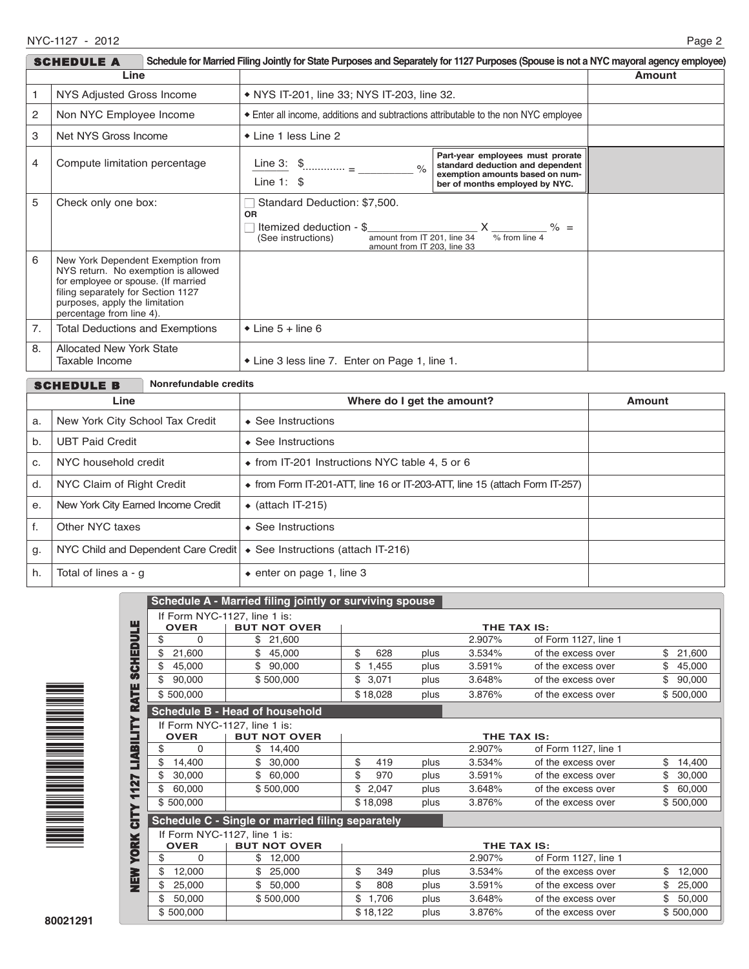| Schedule for Married Filing Jointly for State Purposes and Separately for 1127 Purposes (Spouse is not a NYC mayoral agency employee)<br><b>SCHEDULE A</b> |                                                                                                                                                                                                                     |                                                                                                                                                          |                                                                                                                                           |  |  |
|------------------------------------------------------------------------------------------------------------------------------------------------------------|---------------------------------------------------------------------------------------------------------------------------------------------------------------------------------------------------------------------|----------------------------------------------------------------------------------------------------------------------------------------------------------|-------------------------------------------------------------------------------------------------------------------------------------------|--|--|
| Line                                                                                                                                                       |                                                                                                                                                                                                                     |                                                                                                                                                          | <b>Amount</b>                                                                                                                             |  |  |
| NYS Adjusted Gross Income                                                                                                                                  |                                                                                                                                                                                                                     | • NYS IT-201, line 33; NYS IT-203, line 32.                                                                                                              |                                                                                                                                           |  |  |
| 2                                                                                                                                                          | Non NYC Employee Income                                                                                                                                                                                             | Enter all income, additions and subtractions attributable to the non NYC employee                                                                        |                                                                                                                                           |  |  |
| 3<br>Net NYS Gross Income                                                                                                                                  |                                                                                                                                                                                                                     | ◆ Line 1 less Line 2                                                                                                                                     |                                                                                                                                           |  |  |
| 4                                                                                                                                                          | Compute limitation percentage                                                                                                                                                                                       | Line 3: $\frac{1}{2}$<br>$\frac{6}{6}$<br>Line 1: $$$                                                                                                    | Part-year employees must prorate<br>standard deduction and dependent<br>exemption amounts based on num-<br>ber of months employed by NYC. |  |  |
| 5                                                                                                                                                          | Check only one box:                                                                                                                                                                                                 | Standard Deduction: \$7,500.<br><b>OR</b><br>Itemized deduction - \$<br>amount from IT 201, line 34<br>(See instructions)<br>amount from IT 203, line 33 | $X \t\t\infty$ % =<br>% from line 4                                                                                                       |  |  |
| 6                                                                                                                                                          | New York Dependent Exemption from<br>NYS return. No exemption is allowed<br>for employee or spouse. (If married<br>filing separately for Section 1127<br>purposes, apply the limitation<br>percentage from line 4). |                                                                                                                                                          |                                                                                                                                           |  |  |
| 7.                                                                                                                                                         | <b>Total Deductions and Exemptions</b>                                                                                                                                                                              | $\bullet$ Line 5 + line 6                                                                                                                                |                                                                                                                                           |  |  |
| 8.                                                                                                                                                         | <b>Allocated New York State</b><br>Taxable Income                                                                                                                                                                   | ◆ Line 3 less line 7. Enter on Page 1, line 1.                                                                                                           |                                                                                                                                           |  |  |

|      | Nonrefundable credits<br><b>SCHEDULE B</b>                                           |                                                                                     |               |  |  |
|------|--------------------------------------------------------------------------------------|-------------------------------------------------------------------------------------|---------------|--|--|
| Line |                                                                                      | Where do I get the amount?                                                          | <b>Amount</b> |  |  |
| a.   | New York City School Tax Credit                                                      | $\triangle$ See Instructions                                                        |               |  |  |
| b.   | <b>UBT Paid Credit</b>                                                               | $\triangle$ See Instructions                                                        |               |  |  |
| C.   | NYC household credit                                                                 | $\bullet$ from IT-201 Instructions NYC table 4, 5 or 6                              |               |  |  |
| d.   | NYC Claim of Right Credit                                                            | $\bullet$ from Form IT-201-ATT, line 16 or IT-203-ATT, line 15 (attach Form IT-257) |               |  |  |
| e.   | New York City Earned Income Credit                                                   | $\bullet$ (attach IT-215)                                                           |               |  |  |
| f.   | Other NYC taxes                                                                      | $\triangle$ See Instructions                                                        |               |  |  |
| g.   | NYC Child and Dependent Care Credit $\cdot \bullet$ See Instructions (attach IT-216) |                                                                                     |               |  |  |
| h.   | Total of lines a - q                                                                 | $\bullet$ enter on page 1, line 3                                                   |               |  |  |



| Schedule A - Married filing jointly or surviving spouse                                                    |  |  |  |  |  |
|------------------------------------------------------------------------------------------------------------|--|--|--|--|--|
| If Form NYC-1127, line 1 is:                                                                               |  |  |  |  |  |
|                                                                                                            |  |  |  |  |  |
| of Form 1127, line 1                                                                                       |  |  |  |  |  |
| \$<br>21,600                                                                                               |  |  |  |  |  |
| \$<br>45,000                                                                                               |  |  |  |  |  |
| \$<br>90,000                                                                                               |  |  |  |  |  |
| \$500,000                                                                                                  |  |  |  |  |  |
|                                                                                                            |  |  |  |  |  |
|                                                                                                            |  |  |  |  |  |
|                                                                                                            |  |  |  |  |  |
| of Form 1127, line 1                                                                                       |  |  |  |  |  |
| \$<br>14,400                                                                                               |  |  |  |  |  |
| \$<br>30,000<br>of the excess over                                                                         |  |  |  |  |  |
| \$<br>60,000<br>of the excess over                                                                         |  |  |  |  |  |
| \$500,000<br>of the excess over                                                                            |  |  |  |  |  |
| Schedule C - Single or married filing separately                                                           |  |  |  |  |  |
|                                                                                                            |  |  |  |  |  |
|                                                                                                            |  |  |  |  |  |
| of Form 1127, line 1                                                                                       |  |  |  |  |  |
| of the excess over<br>\$<br>12,000                                                                         |  |  |  |  |  |
| \$<br>25,000<br>of the excess over                                                                         |  |  |  |  |  |
|                                                                                                            |  |  |  |  |  |
| 50,000<br>of the excess over<br>\$                                                                         |  |  |  |  |  |
| of the excess over<br>of the excess over<br>of the excess over<br>of the excess over<br>of the excess over |  |  |  |  |  |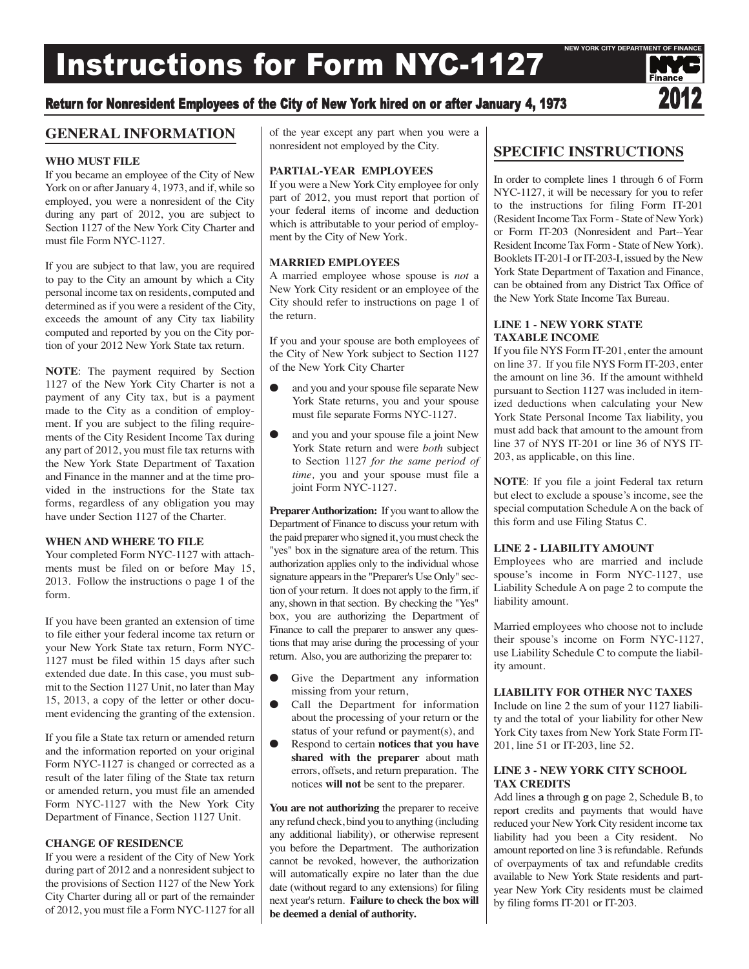# Instructions for Form NYC-1127

# Return for Nonresident Employees of the City of New York hired on or after January 4, 1973

# **GENERAL INFORMATION**

#### **WHO MUST FILE**

If you became an employee of the City of New York on or after January 4, 1973, and if, while so employed, you were a nonresident of the City during any part of 2012, you are subject to Section 1127 of the New York City Charter and must file Form NYC-1127.

If you are subject to that law, you are required to pay to the City an amount by which a City personal income tax on residents, computed and determined as if you were a resident of the City, exceeds the amount of any City tax liability computed and reported by you on the City portion of your 2012 New York State tax return.

**NOTE**: The payment required by Section 1127 of the New York City Charter is not a payment of any City tax, but is a payment made to the City as a condition of employment. If you are subject to the filing requirements of the City Resident Income Tax during any part of 2012, you must file tax returns with the New York State Department of Taxation and Finance in the manner and at the time provided in the instructions for the State tax forms, regardless of any obligation you may have under Section 1127 of the Charter.

#### **WHEN AND WHERE TO FILE**

Your completed Form NYC-1127 with attachments must be filed on or before May 15, 2013. Follow the instructions o page 1 of the form.

If you have been granted an extension of time to file either your federal income tax return or your New York State tax return, Form NYC-1127 must be filed within 15 days after such extended due date. In this case, you must submit to the Section 1127 Unit, no later than May 15, 2013, a copy of the letter or other document evidencing the granting of the extension.

If you file a State tax return or amended return and the information reported on your original Form NYC-1127 is changed or corrected as a result of the later filing of the State tax return or amended return, you must file an amended Form NYC-1127 with the New York City Department of Finance, Section 1127 Unit.

#### **CHANGE OF RESIDENCE**

If you were a resident of the City of New York during part of 2012 and a nonresident subject to the provisions of Section 1127 of the New York City Charter during all or part of the remainder of 2012, you must file a Form NYC-1127 for all of the year except any part when you were a nonresident not employed by the City.

#### **PARTIAL-YEAR EMPLOYEES**

If you were a New York City employee for only part of 2012, you must report that portion of your federal items of income and deduction which is attributable to your period of employment by the City of New York.

#### **MARRIED EMPLOYEES**

A married employee whose spouse is *not* a New York City resident or an employee of the City should refer to instructions on page 1 of the return.

If you and your spouse are both employees of the City of New York subject to Section 1127 of the New York City Charter

- and you and your spouse file separate New York State returns, you and your spouse must file separate Forms NYC-1127.
- and you and your spouse file a joint New York State return and were *both* subject to Section 1127 *for the same period of time,* you and your spouse must file a joint Form NYC-1127.

**Preparer Authorization:** If you want to allow the Department of Finance to discuss your return with the paid preparerwho signed it, youmust check the "yes" box in the signature area of the return. This authorization applies only to the individual whose signature appears in the "Preparer's Use Only" section of your return. It does not apply to the firm, if any, shown in that section. By checking the "Yes" box, you are authorizing the Department of Finance to call the preparer to answer any questions that may arise during the processing of your return. Also, you are authorizing the preparer to:

- Give the Department any information missing from your return,
- Call the Department for information about the processing of your return or the status of your refund or payment(s), and
- Respond to certain **notices that you have shared with the preparer** about math errors, offsets, and return preparation. The notices **will not** be sent to the preparer.

**You are not authorizing** the preparer to receive any refund check, bind you to anything (including any additional liability), or otherwise represent you before the Department. The authorization cannot be revoked, however, the authorization will automatically expire no later than the due date (without regard to any extensions) for filing next year's return. **Failure to check the box will be deemed a denial of authority.**

# **SPECIFIC INSTRUCTIONS**

In order to complete lines 1 through 6 of Form NYC-1127, it will be necessary for you to refer to the instructions for filing Form IT-201 (Resident Income Tax Form - State of New York) or Form IT-203 (Nonresident and Part--Year Resident Income Tax Form - State of New York). Booklets IT-201-I or IT-203-I, issued by the New York State Department of Taxation and Finance, can be obtained from any District Tax Office of the New York State Income Tax Bureau.

## **LINE 1 - NEW YORK STATE TAXABLE INCOME**

If you file NYS Form IT-201, enter the amount on line 37. If you file NYS Form IT-203, enter the amount on line 36. If the amount withheld pursuant to Section 1127 was included in itemized deductions when calculating your New York State Personal Income Tax liability, you must add back that amount to the amount from line 37 of NYS IT-201 or line 36 of NYS IT-203, as applicable, on this line.

**NOTE**: If you file a joint Federal tax return but elect to exclude a spouse's income, see the special computation Schedule A on the back of this form and use Filing Status C.

#### **LINE 2 - LIABILITY AMOUNT**

Employees who are married and include spouse's income in Form NYC-1127, use Liability Schedule A on page 2 to compute the liability amount.

Married employees who choose not to include their spouse's income on Form NYC-1127, use Liability Schedule C to compute the liability amount.

#### **LIABILITY FOR OTHER NYC TAXES**

Include on line 2 the sum of your 1127 liability and the total of your liability for other New York City taxes from New York State Form IT-201, line 51 or IT-203, line 52.

#### **LINE 3 - NEW YORK CITY SCHOOL TAX CREDITS**

Add lines **a** through **g** on page 2, Schedule B, to report credits and payments that would have reduced your NewYork City resident income tax liability had you been a City resident. No amount reported on line 3 is refundable. Refunds of overpayments of tax and refundable credits available to New York State residents and partyear New York City residents must be claimed by filing forms IT-201 or IT-203.